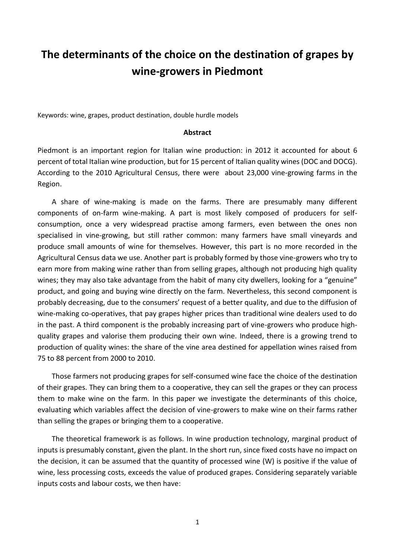## **The determinants of the choice on the destination of grapes by wine-growers in Piedmont**

Keywords: wine, grapes, product destination, double hurdle models

## **Abstract**

Piedmont is an important region for Italian wine production: in 2012 it accounted for about 6 percent of total Italian wine production, but for 15 percent of Italian quality wines (DOC and DOCG). According to the 2010 Agricultural Census, there were about 23,000 vine-growing farms in the Region.

A share of wine-making is made on the farms. There are presumably many different components of on-farm wine-making. A part is most likely composed of producers for selfconsumption, once a very widespread practise among farmers, even between the ones non specialised in vine-growing, but still rather common: many farmers have small vineyards and produce small amounts of wine for themselves. However, this part is no more recorded in the Agricultural Census data we use. Another part is probably formed by those vine-growers who try to earn more from making wine rather than from selling grapes, although not producing high quality wines; they may also take advantage from the habit of many city dwellers, looking for a "genuine" product, and going and buying wine directly on the farm. Nevertheless, this second component is probably decreasing, due to the consumers' request of a better quality, and due to the diffusion of wine-making co-operatives, that pay grapes higher prices than traditional wine dealers used to do in the past. A third component is the probably increasing part of vine-growers who produce highquality grapes and valorise them producing their own wine. Indeed, there is a growing trend to production of quality wines: the share of the vine area destined for appellation wines raised from 75 to 88 percent from 2000 to 2010.

Those farmers not producing grapes for self-consumed wine face the choice of the destination of their grapes. They can bring them to a cooperative, they can sell the grapes or they can process them to make wine on the farm. In this paper we investigate the determinants of this choice, evaluating which variables affect the decision of vine-growers to make wine on their farms rather than selling the grapes or bringing them to a cooperative.

The theoretical framework is as follows. In wine production technology, marginal product of inputs is presumably constant, given the plant. In the short run, since fixed costs have no impact on the decision, it can be assumed that the quantity of processed wine (W) is positive if the value of wine, less processing costs, exceeds the value of produced grapes. Considering separately variable inputs costs and labour costs, we then have: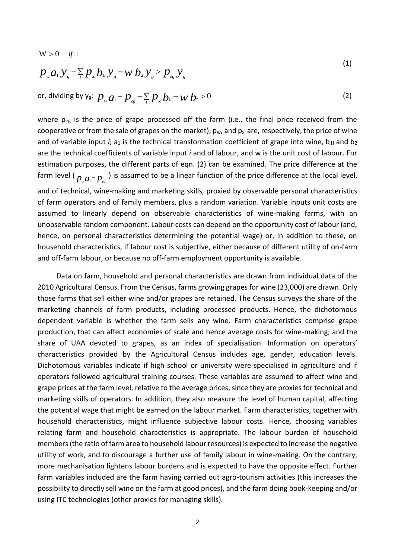$p_{w}a_{w}y_{s} - \sum_{i}p_{xi}b_{y}y_{s} - w_{x}b_{z}y_{s} > p_{xy}y_{s}$  $W > 0$  *if* : (1)

or, dividing by 
$$
y_g
$$
:  $p_w a_1 - p_{eg} - \sum_i p_{xi} b_{1i} - w b_2 > 0$  (2)

where p<sub>eg</sub> is the price of grape processed off the farm (i.e., the final price received from the cooperative or from the sale of grapes on the market);  $p_w$ , and  $p_{xi}$  are, respectively, the price of wine and of variable input  $i$ ; a<sub>1</sub> is the technical transformation coefficient of grape into wine, b<sub>1i</sub> and b<sub>2</sub> are the technical coefficients of variable input *i* and of labour, and w is the unit cost of labour. For estimation purposes, the different parts of eqn. (2) can be examined. The price difference at the farm level (  $p_{w}a_{1}-p_{_{eg}}$  ) is assumed to be a linear function of the price difference at the local level, and of technical, wine-making and marketing skills, proxied by observable personal characteristics of farm operators and of family members, plus a random variation. Variable inputs unit costs are assumed to linearly depend on observable characteristics of wine-making farms, with an unobservable random component. Labour costs can depend on the opportunity cost of labour (and, hence, on personal characteristics determining the potential wage) or, in addition to these, on household characteristics, if labour cost is subjective, either because of different utility of on-farm and off-farm labour, or because no off-farm employment opportunity is available.

Data on farm, household and personal characteristics are drawn from individual data of the 2010 Agricultural Census. From the Census, farms growing grapes for wine (23,000) are drawn. Only those farms that sell either wine and/or grapes are retained. The Census surveys the share of the marketing channels of farm products, including processed products. Hence, the dichotomous dependent variable is whether the farm sells any wine. Farm characteristics comprise grape production, that can affect economies of scale and hence average costs for wine-making; and the share of UAA devoted to grapes, as an index of specialisation. Information on operators' characteristics provided by the Agricultural Census includes age, gender, education levels. Dichotomous variables indicate if high school or university were specialised in agriculture and if operators followed agricultural training courses. These variables are assumed to affect wine and grape prices at the farm level, relative to the average prices, since they are proxies for technical and marketing skills of operators. In addition, they also measure the level of human capital, affecting the potential wage that might be earned on the labour market. Farm characteristics, together with household characteristics, might influence subjective labour costs. Hence, choosing variables relating farm and household characteristics is appropriate. The labour burden of household members (the ratio of farm area to household labour resources) is expected to increase the negative utility of work, and to discourage a further use of family labour in wine-making. On the contrary, more mechanisation lightens labour burdens and is expected to have the opposite effect. Further farm variables included are the farm having carried out agro-tourism activities (this increases the possibility to directly sell wine on the farm at good prices), and the farm doing book-keeping and/or using ITC technologies (other proxies for managing skills).